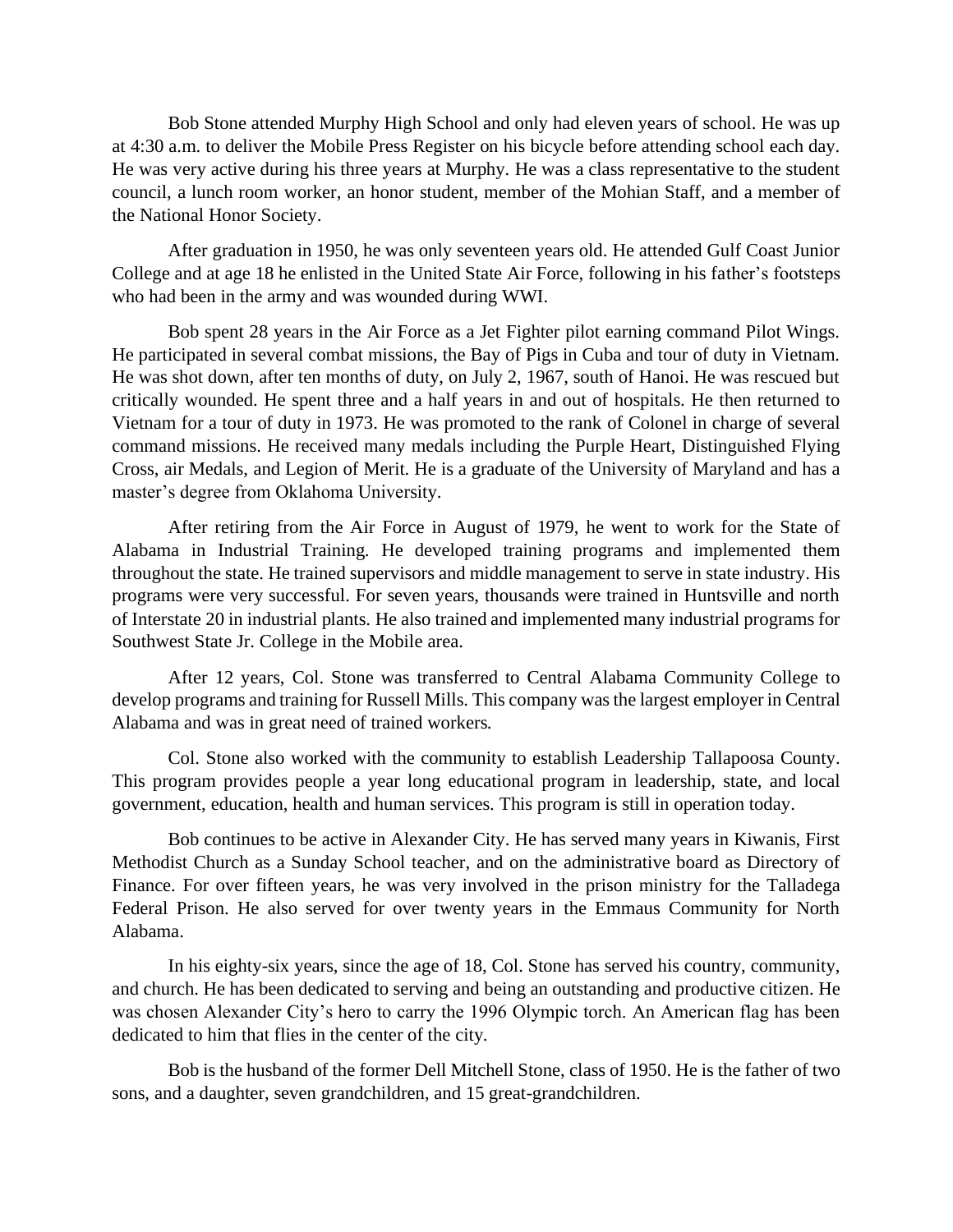Bob Stone attended Murphy High School and only had eleven years of school. He was up at 4:30 a.m. to deliver the Mobile Press Register on his bicycle before attending school each day. He was very active during his three years at Murphy. He was a class representative to the student council, a lunch room worker, an honor student, member of the Mohian Staff, and a member of the National Honor Society.

After graduation in 1950, he was only seventeen years old. He attended Gulf Coast Junior College and at age 18 he enlisted in the United State Air Force, following in his father's footsteps who had been in the army and was wounded during WWI.

Bob spent 28 years in the Air Force as a Jet Fighter pilot earning command Pilot Wings. He participated in several combat missions, the Bay of Pigs in Cuba and tour of duty in Vietnam. He was shot down, after ten months of duty, on July 2, 1967, south of Hanoi. He was rescued but critically wounded. He spent three and a half years in and out of hospitals. He then returned to Vietnam for a tour of duty in 1973. He was promoted to the rank of Colonel in charge of several command missions. He received many medals including the Purple Heart, Distinguished Flying Cross, air Medals, and Legion of Merit. He is a graduate of the University of Maryland and has a master's degree from Oklahoma University.

After retiring from the Air Force in August of 1979, he went to work for the State of Alabama in Industrial Training. He developed training programs and implemented them throughout the state. He trained supervisors and middle management to serve in state industry. His programs were very successful. For seven years, thousands were trained in Huntsville and north of Interstate 20 in industrial plants. He also trained and implemented many industrial programs for Southwest State Jr. College in the Mobile area.

After 12 years, Col. Stone was transferred to Central Alabama Community College to develop programs and training for Russell Mills. This company was the largest employer in Central Alabama and was in great need of trained workers.

Col. Stone also worked with the community to establish Leadership Tallapoosa County. This program provides people a year long educational program in leadership, state, and local government, education, health and human services. This program is still in operation today.

Bob continues to be active in Alexander City. He has served many years in Kiwanis, First Methodist Church as a Sunday School teacher, and on the administrative board as Directory of Finance. For over fifteen years, he was very involved in the prison ministry for the Talladega Federal Prison. He also served for over twenty years in the Emmaus Community for North Alabama.

In his eighty-six years, since the age of 18, Col. Stone has served his country, community, and church. He has been dedicated to serving and being an outstanding and productive citizen. He was chosen Alexander City's hero to carry the 1996 Olympic torch. An American flag has been dedicated to him that flies in the center of the city.

Bob is the husband of the former Dell Mitchell Stone, class of 1950. He is the father of two sons, and a daughter, seven grandchildren, and 15 great-grandchildren.